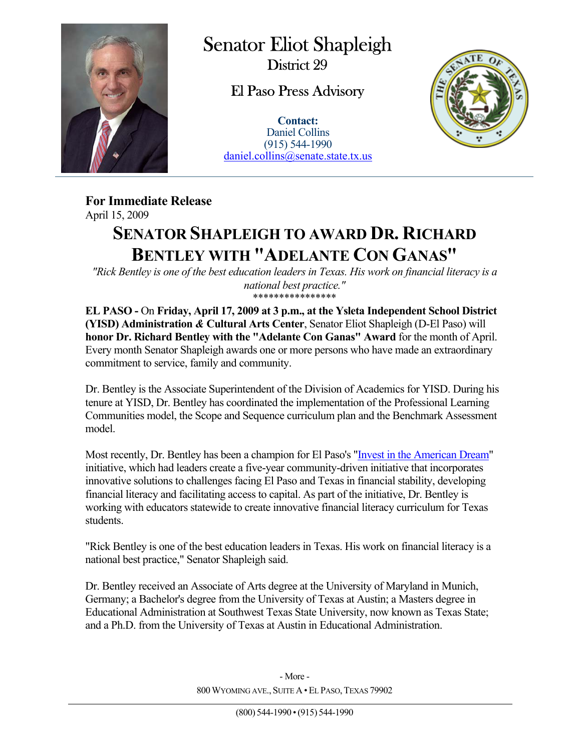

 $\overline{a}$ 

Senator Eliot Shapleigh District 29

El Paso Press Advisory

**Contact:** Daniel Collins (915) 544-1990 daniel.collins@senate.state.tx.us



**For Immediate Release**  April 15, 2009

## **SENATOR SHAPLEIGH TO AWARD DR. RICHARD BENTLEY WITH "ADELANTE CON GANAS"**

*"Rick Bentley is one of the best education leaders in Texas. His work on financial literacy is a national best practice."*  \*\*\*\*\*\*\*\*\*\*\*\*\*\*\*\*

**EL PASO -** On **Friday, April 17, 2009 at 3 p.m., at the Ysleta Independent School District (YISD) Administration** *&* **Cultural Arts Center**, Senator Eliot Shapleigh (D-El Paso) will **honor Dr. Richard Bentley with the "Adelante Con Ganas" Award** for the month of April. Every month Senator Shapleigh awards one or more persons who have made an extraordinary commitment to service, family and community.

Dr. Bentley is the Associate Superintendent of the Division of Academics for YISD. During his tenure at YISD, Dr. Bentley has coordinated the implementation of the Professional Learning Communities model, the Scope and Sequence curriculum plan and the Benchmark Assessment model.

Most recently, Dr. Bentley has been a champion for El Paso's "Invest in the American Dream" initiative, which had leaders create a five-year community-driven initiative that incorporates innovative solutions to challenges facing El Paso and Texas in financial stability, developing financial literacy and facilitating access to capital. As part of the initiative, Dr. Bentley is working with educators statewide to create innovative financial literacy curriculum for Texas students.

"Rick Bentley is one of the best education leaders in Texas. His work on financial literacy is a national best practice," Senator Shapleigh said.

Dr. Bentley received an Associate of Arts degree at the University of Maryland in Munich, Germany; a Bachelor's degree from the University of Texas at Austin; a Masters degree in Educational Administration at Southwest Texas State University, now known as Texas State; and a Ph.D. from the University of Texas at Austin in Educational Administration.